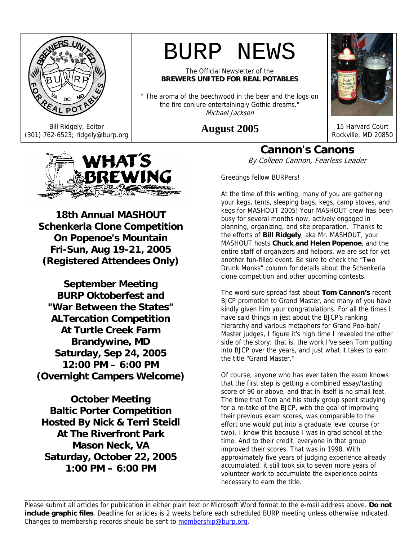

Bill Ridgely, Editor Bill Ridgely, Editor **August 2005** 15 Harvard Court (301) 762-6523; ridgely@burp.org **August 2005** 



The Official Newsletter of the **BREWERS UNITED FOR REAL POTABLES** 

" The aroma of the beechwood in the beer and the logs on the fire conjure entertainingly Gothic dreams." Michael Jackson



Rockville, MD 20850



**18th Annual MASHOUT Schenkerla Clone Competition On Popenoe's Mountain Fri-Sun, Aug 19-21, 2005 (Registered Attendees Only)** 

**September Meeting BURP Oktoberfest and "War Between the States" ALTercation Competition At Turtle Creek Farm Brandywine, MD Saturday, Sep 24, 2005 12:00 PM – 6:00 PM (Overnight Campers Welcome)** 

**October Meeting Baltic Porter Competition Hosted By Nick & Terri Steidl At The Riverfront Park Mason Neck, VA Saturday, October 22, 2005 1:00 PM – 6:00 PM** 

**Cannon's Canons**  By Colleen Cannon, Fearless Leader

Greetings fellow BURPers!

At the time of this writing, many of you are gathering your kegs, tents, sleeping bags, kegs, camp stoves, and kegs for MASHOUT 2005! Your MASHOUT crew has been busy for several months now, actively engaged in planning, organizing, and site preparation. Thanks to the efforts of **Bill Ridgely**, aka Mr. MASHOUT, your MASHOUT hosts **Chuck and Helen Popenoe**, and the entire staff of organizers and helpers, we are set for yet another fun-filled event. Be sure to check the "Two Drunk Monks" column for details about the Schenkerla clone competition and other upcoming contests.

The word sure spread fast about **Tom Cannon's** recent BJCP promotion to Grand Master, and many of you have kindly given him your congratulations. For all the times I have said things in jest about the BJCP's ranking hierarchy and various metaphors for Grand Poo-bah/ Master judges, I figure it's high time I revealed the other side of the story; that is, the work I've seen Tom putting into BJCP over the years, and just what it takes to earn the title "Grand Master."

Of course, anyone who has ever taken the exam knows that the first step is getting a combined essay/tasting score of 90 or above, and that in itself is no small feat. The time that Tom and his study group spent studying for a re-take of the BJCP, with the goal of improving their previous exam scores, was comparable to the effort one would put into a graduate level course (or two). I know this because I was in grad school at the time. And to their credit, everyone in that group improved their scores. That was in 1998. With approximately five years of judging experience already accumulated, it still took six to seven more years of volunteer work to accumulate the experience points necessary to earn the title.

Please submit all articles for publication in either plain text or Microsoft Word format to the e-mail address above. **Do not include graphic files**. Deadline for articles is 2 weeks before each scheduled BURP meeting unless otherwise indicated. Changes to membership records should be sent to membership@burp.org.

\_\_\_\_\_\_\_\_\_\_\_\_\_\_\_\_\_\_\_\_\_\_\_\_\_\_\_\_\_\_\_\_\_\_\_\_\_\_\_\_\_\_\_\_\_\_\_\_\_\_\_\_\_\_\_\_\_\_\_\_\_\_\_\_\_\_\_\_\_\_\_\_\_\_\_\_\_\_\_\_\_\_\_\_\_\_\_\_\_\_\_\_\_\_\_\_\_\_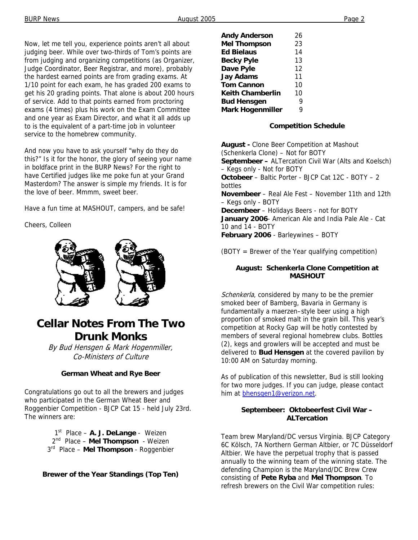Now, let me tell you, experience points aren't all about judging beer. While over two-thirds of Tom's points are from judging and organizing competitions (as Organizer, Judge Coordinator, Beer Registrar, and more), probably the hardest earned points are from grading exams. At 1/10 point for each exam, he has graded 200 exams to get his 20 grading points. That alone is about 200 hours of service. Add to that points earned from proctoring exams (4 times) plus his work on the Exam Committee and one year as Exam Director, and what it all adds up to is the equivalent of a part-time job in volunteer service to the homebrew community.

And now you have to ask yourself "why do they do this?" Is it for the honor, the glory of seeing your name in boldface print in the BURP News? For the right to have Certified judges like me poke fun at your Grand Masterdom? The answer is simple my friends. It is for the love of beer. Mmmm, sweet beer.

Have a fun time at MASHOUT, campers, and be safe!

Cheers, Colleen



## **Cellar Notes From The Two Drunk Monks**

By Bud Hensgen & Mark Hogenmiller, Co-Ministers of Culture

#### **German Wheat and Rye Beer**

Congratulations go out to all the brewers and judges who participated in the German Wheat Beer and Roggenbier Competition - BJCP Cat 15 - held July 23rd. The winners are:

> 1st Place – **A. J. DeLange** - Weizen 2nd Place – **Mel Thompson** - Weizen 3rd Place – **Mel Thompson** - Roggenbier

**Brewer of the Year Standings (Top Ten)** 

| 26 |
|----|
| 23 |
| 14 |
| 13 |
| 12 |
| 11 |
| 10 |
| 10 |
| q  |
| Q  |
|    |

#### **Competition Schedule**

**August -** Clone Beer Competition at Mashout (Schenkerla Clone) – Not for BOTY **Septembeer –** ALTercation Civil War (Alts and Koelsch) – Kegs only - Not for BOTY **Octobeer** – Baltic Porter - BJCP Cat 12C - BOTY – 2 bottles **Novembeer** – Real Ale Fest – November 11th and 12th – Kegs only - BOTY **Decembeer** – Holidays Beers - not for BOTY **January 2006**- American Ale and India Pale Ale - Cat 10 and 14 - BOTY **February 2006** - Barleywines – BOTY

(BOTY = Brewer of the Year qualifying competition)

#### **August: Schenkerla Clone Competition at MASHOUT**

Schenkerla, considered by many to be the premier smoked beer of Bamberg, Bavaria in Germany is fundamentally a maerzen–style beer using a high proportion of smoked malt in the grain bill. This year's competition at Rocky Gap will be hotly contested by members of several regional homebrew clubs. Bottles (2), kegs and growlers will be accepted and must be delivered to **Bud Hensgen** at the covered pavilion by 10:00 AM on Saturday morning.

As of publication of this newsletter, Bud is still looking for two more judges. If you can judge, please contact him at bhensgen1@verizon.net.

#### **Septembeer: Oktobeerfest Civil War – ALTercation**

Team brew Maryland/DC versus Virginia. BJCP Category 6C Kölsch, 7A Northern German Altbier, or 7C Düsseldorf Altbier. We have the perpetual trophy that is passed annually to the winning team of the winning state. The defending Champion is the Maryland/DC Brew Crew consisting of **Pete Ryba** and **Mel Thompson**. To refresh brewers on the Civil War competition rules: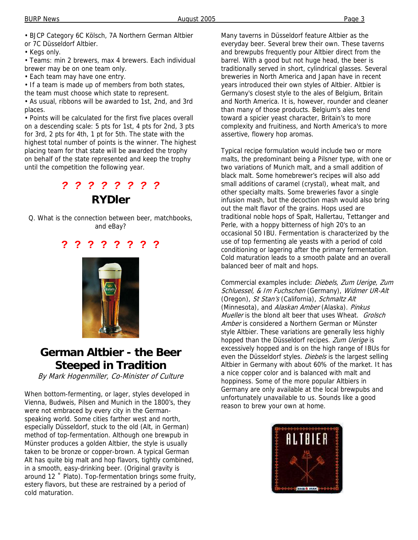• BJCP Category 6C Kölsch, 7A Northern German Altbier or 7C Düsseldorf Altbier.

• Kegs only.

• Teams: min 2 brewers, max 4 brewers. Each individual brewer may be on one team only.

• Each team may have one entry.

• If a team is made up of members from both states,

the team must choose which state to represent.

• As usual, ribbons will be awarded to 1st, 2nd, and 3rd places.

• Points will be calculated for the first five places overall on a descending scale: 5 pts for 1st, 4 pts for 2nd, 3 pts for 3rd, 2 pts for 4th, 1 pt for 5th. The state with the highest total number of points is the winner. The highest placing team for that state will be awarded the trophy on behalf of the state represented and keep the trophy until the competition the following year.

## *? ? ? ? ? ? ? ?*  **RYDler**

Q. What is the connection between beer, matchbooks, and eBay?

### **? ? ? ? ? ? ? ?**



## **German Altbier - the Beer Steeped in Tradition**

By Mark Hogenmiller, Co-Minister of Culture

When bottom-fermenting, or lager, styles developed in Vienna, Budweis, Pilsen and Munich in the 1800's, they were not embraced by every city in the Germanspeaking world. Some cities farther west and north, especially Düsseldorf, stuck to the old (Alt, in German) method of top-fermentation. Although one brewpub in Münster produces a golden Altbier, the style is usually taken to be bronze or copper-brown. A typical German Alt has quite big malt and hop flavors, tightly combined, in a smooth, easy-drinking beer. (Original gravity is around 12 ˚ Plato). Top-fermentation brings some fruity, estery flavors, but these are restrained by a period of cold maturation.

Many taverns in Düsseldorf feature Altbier as the everyday beer. Several brew their own. These taverns and brewpubs frequently pour Altbier direct from the barrel. With a good but not huge head, the beer is traditionally served in short, cylindrical glasses. Several breweries in North America and Japan have in recent years introduced their own styles of Altbier. Altbier is Germany's closest style to the ales of Belgium, Britain and North America. It is, however, rounder and cleaner than many of those products. Belgium's ales tend toward a spicier yeast character, Britain's to more complexity and fruitiness, and North America's to more assertive, flowery hop aromas.

Typical recipe formulation would include two or more malts, the predominant being a Pilsner type, with one or two variations of Munich malt, and a small addition of black malt. Some homebrewer's recipes will also add small additions of caramel (crystal), wheat malt, and other specialty malts. Some breweries favor a single infusion mash, but the decoction mash would also bring out the malt flavor of the grains. Hops used are traditional noble hops of Spalt, Hallertau, Tettanger and Perle, with a hoppy bitterness of high 20's to an occasional 50 IBU. Fermentation is characterized by the use of top fermenting ale yeasts with a period of cold conditioning or lagering after the primary fermentation. Cold maturation leads to a smooth palate and an overall balanced beer of malt and hops.

Commercial examples include: Diebels, Zum Uerige, Zum Schluessel, & Im Fuchschen (Germany), Widmer UR-Alt (Oregon), St Stan's (California), Schmaltz Alt (Minnesota), and Alaskan Amber (Alaska). Pinkus Mueller is the blond alt beer that uses Wheat. Grolsch Amber is considered a Northern German or Münster style Altbier. These variations are generally less highly hopped than the Düsseldorf recipes. Zum Uerige is excessively hopped and is on the high range of IBUs for even the Düsseldorf styles. Diebels is the largest selling Altbier in Germany with about 60% of the market. It has a nice copper color and is balanced with malt and hoppiness. Some of the more popular Altbiers in Germany are only available at the local brewpubs and unfortunately unavailable to us. Sounds like a good reason to brew your own at home.

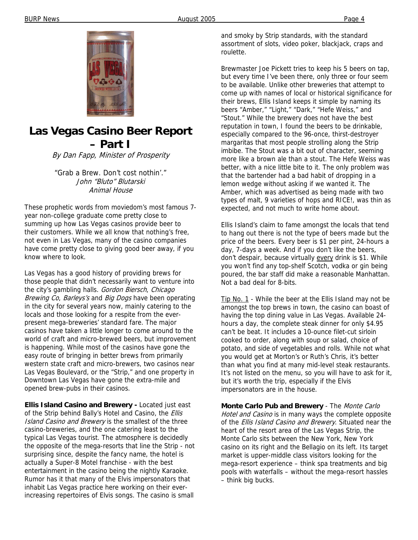

### **Las Vegas Casino Beer Report – Part I**

By Dan Fapp, Minister of Prosperity

"Grab a Brew. Don't cost nothin'." John "Bluto" Blutarski Animal House

These prophetic words from moviedom's most famous 7 year non-college graduate come pretty close to summing up how Las Vegas casinos provide beer to their customers. While we all know that nothing's free, not even in Las Vegas, many of the casino companies have come pretty close to giving good beer away, if you know where to look.

Las Vegas has a good history of providing brews for those people that didn't necessarily want to venture into the city's gambling halls. Gordon Biersch, Chicago Brewing Co, Barleys's and Big Dogs have been operating in the city for several years now, mainly catering to the locals and those looking for a respite from the everpresent mega-breweries' standard fare. The major casinos have taken a little longer to come around to the world of craft and micro-brewed beers, but improvement is happening. While most of the casinos have gone the easy route of bringing in better brews from primarily western state craft and micro-brewers, two casinos near Las Vegas Boulevard, or the "Strip," and one property in Downtown Las Vegas have gone the extra-mile and opened brew-pubs in their casinos.

**Ellis Island Casino and Brewery -** Located just east of the Strip behind Bally's Hotel and Casino, the Ellis Island Casino and Brewery is the smallest of the three casino-breweries, and the one catering least to the typical Las Vegas tourist. The atmosphere is decidedly the opposite of the mega-resorts that line the Strip - not surprising since, despite the fancy name, the hotel is actually a Super-8 Motel franchise - with the best entertainment in the casino being the nightly Karaoke. Rumor has it that many of the Elvis impersonators that inhabit Las Vegas practice here working on their everincreasing repertoires of Elvis songs. The casino is small

and smoky by Strip standards, with the standard assortment of slots, video poker, blackjack, craps and roulette.

Brewmaster Joe Pickett tries to keep his 5 beers on tap, but every time I've been there, only three or four seem to be available. Unlike other breweries that attempt to come up with names of local or historical significance for their brews, Ellis Island keeps it simple by naming its beers "Amber," "Light," "Dark," "Hefe Weiss," and "Stout." While the brewery does not have the best reputation in town, I found the beers to be drinkable, especially compared to the 96-once, thirst-destroyer margaritas that most people strolling along the Strip imbibe. The Stout was a bit out of character, seeming more like a brown ale than a stout. The Hefe Weiss was better, with a nice little bite to it. The only problem was that the bartender had a bad habit of dropping in a lemon wedge without asking if we wanted it. The Amber, which was advertised as being made with two types of malt, 9 varieties of hops and RICE!, was thin as expected, and not much to write home about.

Ellis Island's claim to fame amongst the locals that tend to hang out there is not the type of beers made but the price of the beers. Every beer is \$1 per pint, 24-hours a day, 7-days a week. And if you don't like the beers, don't despair, because virtually every drink is \$1. While you won't find any top-shelf Scotch, vodka or gin being poured, the bar staff did make a reasonable Manhattan. Not a bad deal for 8-bits.

Tip No. 1 - While the beer at the Ellis Island may not be amongst the top brews in town, the casino can boast of having the top dining value in Las Vegas. Available 24 hours a day, the complete steak dinner for only \$4.95 can't be beat. It includes a 10-ounce filet-cut sirloin cooked to order, along with soup or salad, choice of potato, and side of vegetables and rolls. While not what you would get at Morton's or Ruth's Chris, it's better than what you find at many mid-level steak restaurants. It's not listed on the menu, so you will have to ask for it, but it's worth the trip, especially if the Elvis impersonators are in the house.

**Monte Carlo Pub and Brewery** - The Monte Carlo Hotel and Casino is in many ways the complete opposite of the *Ellis Island Casino and Brewery*. Situated near the heart of the resort area of the Las Vegas Strip, the Monte Carlo sits between the New York, New York casino on its right and the Bellagio on its left. Its target market is upper-middle class visitors looking for the mega-resort experience – think spa treatments and big pools with waterfalls – without the mega-resort hassles – think big bucks.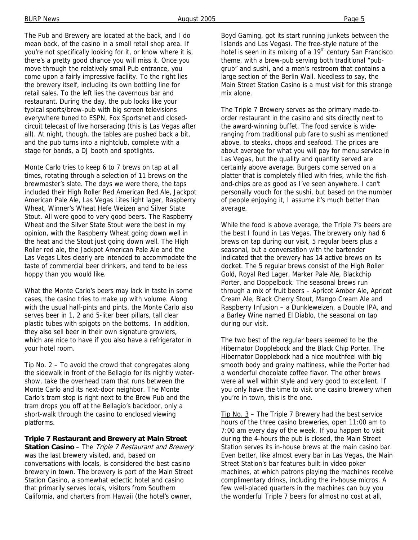The Pub and Brewery are located at the back, and I do mean back, of the casino in a small retail shop area. If you're not specifically looking for it, or know where it is, there's a pretty good chance you will miss it. Once you move through the relatively small Pub entrance, you come upon a fairly impressive facility. To the right lies the brewery itself, including its own bottling line for retail sales. To the left lies the cavernous bar and restaurant. During the day, the pub looks like your typical sports/brew-pub with big screen televisions everywhere tuned to ESPN, Fox Sportsnet and closedcircuit telecast of live horseracing (this is Las Vegas after all). At night, though, the tables are pushed back a bit,

and the pub turns into a nightclub, complete with a

stage for bands, a DJ booth and spotlights.

Monte Carlo tries to keep 6 to 7 brews on tap at all times, rotating through a selection of 11 brews on the brewmaster's slate. The days we were there, the taps included their High Roller Red American Red Ale, Jackpot American Pale Ale, Las Vegas Lites light lager, Raspberry Wheat, Winner's Wheat Hefe Weizen and Silver State Stout. All were good to very good beers. The Raspberry Wheat and the Silver State Stout were the best in my opinion, with the Raspberry Wheat going down well in the heat and the Stout just going down well. The High Roller red ale, the Jackpot American Pale Ale and the Las Vegas Lites clearly are intended to accommodate the taste of commercial beer drinkers, and tend to be less hoppy than you would like.

What the Monte Carlo's beers may lack in taste in some cases, the casino tries to make up with volume. Along with the usual half-pints and pints, the Monte Carlo also serves beer in 1, 2 and 5-liter beer pillars, tall clear plastic tubes with spigots on the bottoms. In addition, they also sell beer in their own signature growlers, which are nice to have if you also have a refrigerator in your hotel room.

Tip No. 2 – To avoid the crowd that congregates along the sidewalk in front of the Bellagio for its nightly watershow, take the overhead tram that runs between the Monte Carlo and its next-door neighbor. The Monte Carlo's tram stop is right next to the Brew Pub and the tram drops you off at the Bellagio's backdoor, only a short-walk through the casino to enclosed viewing platforms.

#### **Triple 7 Restaurant and Brewery at Main Street**

**Station Casino** – The Triple 7 Restaurant and Brewery was the last brewery visited, and, based on conversations with locals, is considered the best casino brewery in town. The brewery is part of the Main Street Station Casino, a somewhat eclectic hotel and casino that primarily serves locals, visitors from Southern California, and charters from Hawaii (the hotel's owner,

Boyd Gaming, got its start running junkets between the Islands and Las Vegas). The free-style nature of the hotel is seen in its mixing of a 19<sup>th</sup> century San Francisco theme, with a brew-pub serving both traditional "pubgrub" and sushi, and a men's restroom that contains a large section of the Berlin Wall. Needless to say, the Main Street Station Casino is a must visit for this strange mix alone.

The Triple 7 Brewery serves as the primary made-toorder restaurant in the casino and sits directly next to the award-winning buffet. The food service is wideranging from traditional pub fare to sushi as mentioned above, to steaks, chops and seafood. The prices are about average for what you will pay for menu service in Las Vegas, but the quality and quantity served are certainly above average. Burgers come served on a platter that is completely filled with fries, while the fishand-chips are as good as I've seen anywhere. I can't personally vouch for the sushi, but based on the number of people enjoying it, I assume it's much better than average.

While the food is above average, the Triple 7's beers are the best I found in Las Vegas. The brewery only had 6 brews on tap during our visit, 5 regular beers plus a seasonal, but a conversation with the bartender indicated that the brewery has 14 active brews on its docket. The 5 regular brews consist of the High Roller Gold, Royal Red Lager, Marker Pale Ale, Blackchip Porter, and Doppelbock. The seasonal brews run through a mix of fruit beers – Apricot Amber Ale, Apricot Cream Ale, Black Cherry Stout, Mango Cream Ale and Raspberry Infusion – a Dunkleweizen, a Double IPA, and a Barley Wine named El Diablo, the seasonal on tap during our visit.

The two best of the regular beers seemed to be the Hibernator Dopplebock and the Black Chip Porter. The Hibernator Dopplebock had a nice mouthfeel with big smooth body and grainy maltiness, while the Porter had a wonderful chocolate coffee flavor. The other brews were all well within style and very good to excellent. If you only have the time to visit one casino brewery when you're in town, this is the one.

 $Tip No. 3$  – The Triple 7 Brewery had the best service</u> hours of the three casino breweries, open 11:00 am to 7:00 am every day of the week. If you happen to visit during the 4-hours the pub is closed, the Main Street Station serves its in-house brews at the main casino bar. Even better, like almost every bar in Las Vegas, the Main Street Station's bar features built-in video poker machines, at which patrons playing the machines receive complimentary drinks, including the in-house micros. A few well-placed quarters in the machines can buy you the wonderful Triple 7 beers for almost no cost at all,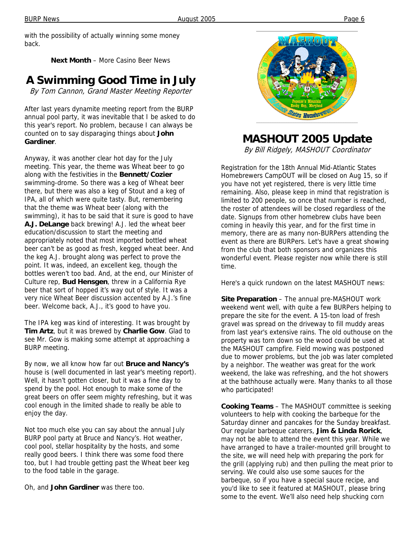with the possibility of actually winning some money back.

**Next Month** – More Casino Beer News

## **A Swimming Good Time in July**

By Tom Cannon, Grand Master Meeting Reporter

After last years dynamite meeting report from the BURP annual pool party, it was inevitable that I be asked to do this year's report. No problem, because I can always be counted on to say disparaging things about **John Gardiner**.

Anyway, it was another clear hot day for the July meeting. This year, the theme was Wheat beer to go along with the festivities in the **Bennett/Cozier** swimming-drome. So there was a keg of Wheat beer there, but there was also a keg of Stout and a keg of IPA, all of which were quite tasty. But, remembering that the theme was Wheat beer (along with the swimming), it has to be said that it sure is good to have **A.J. DeLange** back brewing! A.J. led the wheat beer education/discussion to start the meeting and appropriately noted that most imported bottled wheat beer can't be as good as fresh, kegged wheat beer. And the keg A.J. brought along was perfect to prove the point. It was, indeed, an excellent keg, though the bottles weren't too bad. And, at the end, our Minister of Culture rep, **Bud Hensgen**, threw in a California Rye beer that sort of hopped it's way out of style. It was a very nice Wheat Beer discussion accented by A.J.'s fine beer. Welcome back, A.J., it's good to have you.

The IPA keg was kind of interesting. It was brought by **Tim Artz**, but it was brewed by **Charlie Gow**. Glad to see Mr. Gow is making some attempt at approaching a BURP meeting.

By now, we all know how far out **Bruce and Nancy's** house is (well documented in last year's meeting report). Well, it hasn't gotten closer, but it was a fine day to spend by the pool. Hot enough to make some of the great beers on offer seem mighty refreshing, but it was cool enough in the limited shade to really be able to enjoy the day.

Not too much else you can say about the annual July BURP pool party at Bruce and Nancy's. Hot weather, cool pool, stellar hospitality by the hosts, and some really good beers. I think there was some food there too, but I had trouble getting past the Wheat beer keg to the food table in the garage.

Oh, and **John Gardiner** was there too.



# **MASHOUT 2005 Update**

By Bill Ridgely, MASHOUT Coordinator

Registration for the 18th Annual Mid-Atlantic States Homebrewers CampOUT will be closed on Aug 15, so if you have not yet registered, there is very little time remaining. Also, please keep in mind that registration is limited to 200 people, so once that number is reached, the roster of attendees will be closed regardless of the date. Signups from other homebrew clubs have been coming in heavily this year, and for the first time in memory, there are as many non-BURPers attending the event as there are BURPers. Let's have a great showing from the club that both sponsors and organizes this wonderful event. Please register now while there is still time.

Here's a quick rundown on the latest MASHOUT news:

**Site Preparation** – The annual pre-MASHOUT work weekend went well, with quite a few BURPers helping to prepare the site for the event. A 15-ton load of fresh gravel was spread on the driveway to fill muddy areas from last year's extensive rains. The old outhouse on the property was torn down so the wood could be used at the MASHOUT campfire. Field mowing was postponed due to mower problems, but the job was later completed by a neighbor. The weather was great for the work weekend, the lake was refreshing, and the hot showers at the bathhouse actually were. Many thanks to all those who participated!

**Cooking Teams** – The MASHOUT committee is seeking volunteers to help with cooking the barbeque for the Saturday dinner and pancakes for the Sunday breakfast. Our regular barbeque caterers, **Jim & Linda Rorick**, may not be able to attend the event this year. While we have arranged to have a trailer-mounted grill brought to the site, we will need help with preparing the pork for the grill (applying rub) and then pulling the meat prior to serving. We could also use some sauces for the barbeque, so if you have a special sauce recipe, and you'd like to see it featured at MASHOUT, please bring some to the event. We'll also need help shucking corn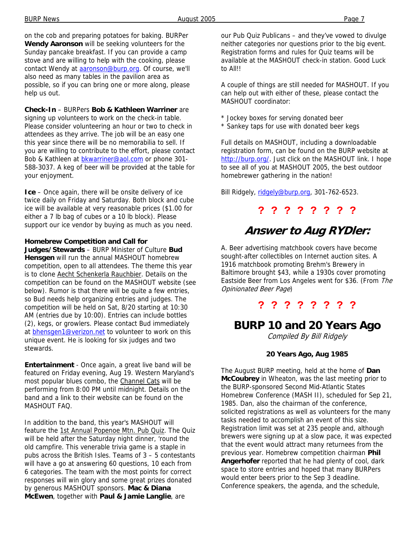on the cob and preparing potatoes for baking. BURPer **Wendy Aaronson** will be seeking volunteers for the Sunday pancake breakfast. If you can provide a camp stove and are willing to help with the cooking, please contact Wendy at aaronson@burp.org. Of course, we'll also need as many tables in the pavilion area as possible, so if you can bring one or more along, please help us out.

**Check-In** – BURPers **Bob & Kathleen Warriner** are signing up volunteers to work on the check-in table. Please consider volunteering an hour or two to check in attendees as they arrive. The job will be an easy one this year since there will be no memorabilia to sell. If you are willing to contribute to the effort, please contact Bob & Kathleen at **bkwarriner@aol.com** or phone 301-588-3037. A keg of beer will be provided at the table for your enjoyment.

**Ice** – Once again, there will be onsite delivery of ice twice daily on Friday and Saturday. Both block and cube ice will be available at very reasonable prices (\$1.00 for either a 7 lb bag of cubes or a 10 lb block). Please support our ice vendor by buying as much as you need.

#### **Homebrew Competition and Call for**

**Judges/Stewards** – BURP Minister of Culture **Bud Hensgen** will run the annual MASHOUT homebrew competition, open to all attendees. The theme this year is to clone Aecht Schenkerla Rauchbier. Details on the competition can be found on the MASHOUT website (see below). Rumor is that there will be quite a few entries, so Bud needs help organizing entries and judges. The competition will be held on Sat, 8/20 starting at 10:30 AM (entries due by 10:00). Entries can include bottles (2), kegs, or growlers. Please contact Bud immediately at **bhensgen1@verizon.net** to volunteer to work on this unique event. He is looking for six judges and two stewards.

**Entertainment** - Once again, a great live band will be featured on Friday evening, Aug 19. Western Maryland's most popular blues combo, the Channel Cats will be performing from 8:00 PM until midnight. Details on the band and a link to their website can be found on the MASHOUT FAQ.

In addition to the band, this year's MASHOUT will feature the 1st Annual Popenoe Mtn. Pub Quiz. The Quiz will be held after the Saturday night dinner, 'round the old campfire. This venerable trivia game is a staple in pubs across the British Isles. Teams of 3 – 5 contestants will have a go at answering 60 questions, 10 each from 6 categories. The team with the most points for correct responses will win glory and some great prizes donated by generous MASHOUT sponsors. **Mac & Diana McEwen**, together with **Paul & Jamie Langlie**, are

our Pub Quiz Publicans – and they've vowed to divulge neither categories nor questions prior to the big event. Registration forms and rules for Quiz teams will be available at the MASHOUT check-in station. Good Luck to All!!

A couple of things are still needed for MASHOUT. If you can help out with either of these, please contact the MASHOUT coordinator:

- \* Jockey boxes for serving donated beer
- \* Sankey taps for use with donated beer kegs

Full details on MASHOUT, including a downloadable registration form, can be found on the BURP website at http://burp.org/. Just click on the MASHOUT link. I hope to see all of you at MASHOUT 2005, the best outdoor homebrewer gathering in the nation!

Bill Ridgely, ridgely@burp.org, 301-762-6523.

## **? ? ? ? ? ? ? ?**

## **Answer to Aug RYDler:**

A. Beer advertising matchbook covers have become sought-after collectibles on Internet auction sites. A 1916 matchbook promoting Brehm's Brewery in Baltimore brought \$43, while a 1930s cover promoting Eastside Beer from Los Angeles went for \$36. (From The Opinionated Beer Page)

### **? ? ? ? ? ? ? ?**

## **BURP 10 and 20 Years Ago**

Compiled By Bill Ridgely

#### **20 Years Ago, Aug 1985**

The August BURP meeting, held at the home of **Dan McCoubrey** in Wheaton, was the last meeting prior to the BURP-sponsored Second Mid-Atlantic States Homebrew Conference (MASH II), scheduled for Sep 21, 1985. Dan, also the chairman of the conference, solicited registrations as well as volunteers for the many tasks needed to accomplish an event of this size. Registration limit was set at 235 people and, although brewers were signing up at a slow pace, it was expected that the event would attract many returnees from the previous year. Homebrew competition chairman **Phil Angerhofer** reported that he had plenty of cool, dark space to store entries and hoped that many BURPers would enter beers prior to the Sep 3 deadline. Conference speakers, the agenda, and the schedule,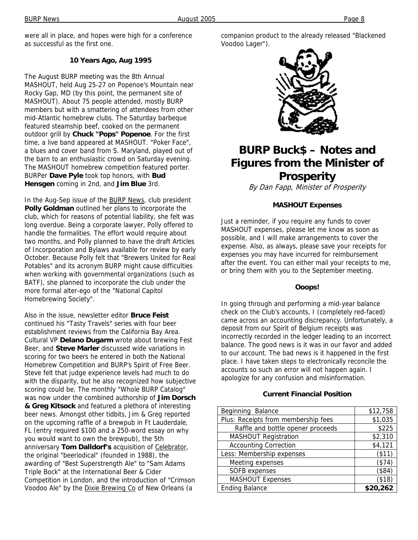were all in place, and hopes were high for a conference as successful as the first one.

#### **10 Years Ago, Aug 1995**

The August BURP meeting was the 8th Annual MASHOUT, held Aug 25-27 on Popenoe's Mountain near Rocky Gap, MD (by this point, the permanent site of MASHOUT). About 75 people attended, mostly BURP members but with a smattering of attendees from other mid-Atlantic homebrew clubs. The Saturday barbeque featured steamship beef, cooked on the permanent outdoor grill by **Chuck "Pops" Popenoe**. For the first time, a live band appeared at MASHOUT. "Poker Face", a blues and cover band from S. Maryland, played out of the barn to an enthusiastic crowd on Saturday evening. The MASHOUT homebrew competition featured porter. BURPer **Dave Pyle** took top honors, with **Bud Hensgen** coming in 2nd, and **Jim Blue** 3rd.

In the Aug-Sep issue of the BURP News, club president **Polly Goldman** outlined her plans to incorporate the club, which for reasons of potential liability, she felt was long overdue. Being a corporate lawyer, Polly offered to handle the formalities. The effort would require about two months, and Polly planned to have the draft Articles of Incorporation and Bylaws available for review by early October. Because Polly felt that "Brewers United for Real Potables" and its acronym BURP might cause difficulties when working with governmental organizations (such as BATF), she planned to incorporate the club under the more formal alter-ego of the "National Capitol Homebrewing Society".

Also in the issue, newsletter editor **Bruce Feist**  continued his "Tasty Travels" series with four beer establishment reviews from the California Bay Area. Cultural VP **Delano Dugarm** wrote about brewing Fest Beer, and **Steve Marler** discussed wide variations in scoring for two beers he entered in both the National Homebrew Competition and BURP's Spirit of Free Beer. Steve felt that judge experience levels had much to do with the disparity, but he also recognized how subjective scoring could be. The monthly "Whole BURP Catalog" was now under the combined authorship of **Jim Dorsch & Greg Kitsock** and featured a plethora of interesting beer news. Amongst other tidbits, Jim & Greg reported on the upcoming raffle of a brewpub in Ft Lauderdale, FL (entry required \$100 and a 250-word essay on why you would want to own the brewpub), the 5th anniversary **Tom Dalldorf's** acquisition of Celebrator, the original "beeriodical" (founded in 1988), the awarding of "Best Superstrength Ale" to "Sam Adams Triple Bock" at the International Beer & Cider Competition in London, and the introduction of "Crimson Voodoo Ale" by the **Dixie Brewing Co** of New Orleans (a

companion product to the already released "Blackened Voodoo Lager").



## **BURP Buck\$ – Notes and Figures from the Minister of Prosperity**

By Dan Fapp, Minister of Prosperity

#### **MASHOUT Expenses**

Just a reminder, if you require any funds to cover MASHOUT expenses, please let me know as soon as possible, and I will make arrangements to cover the expense. Also, as always, please save your receipts for expenses you may have incurred for reimbursement after the event. You can either mail your receipts to me, or bring them with you to the September meeting.

#### **Ooops!**

In going through and performing a mid-year balance check on the Club's accounts, I (completely red-faced) came across an accounting discrepancy. Unfortunately, a deposit from our Spirit of Belgium receipts was incorrectly recorded in the ledger leading to an incorrect balance. The good news is it was in our favor and added to our account. The bad news is it happened in the first place. I have taken steps to electronically reconcile the accounts so such an error will not happen again. I apologize for any confusion and misinformation.

#### **Current Financial Position**

| Beginning Balance                   | \$12,758  |
|-------------------------------------|-----------|
| Plus: Receipts from membership fees | \$1,035   |
| Raffle and bottle opener proceeds   | \$225     |
| <b>MASHOUT Registration</b>         | \$2,310   |
| <b>Accounting Correction</b>        | \$4,121   |
| Less: Membership expenses           | ( \$11)   |
| Meeting expenses                    | (\$74     |
| SOFB expenses                       | (\$84     |
| <b>MASHOUT Expenses</b>             | $($ \$18) |
| <b>Ending Balance</b>               | \$20,262  |